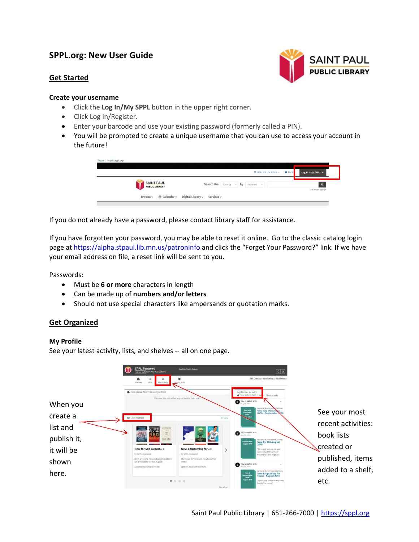# **SPPL.org: New User Guide**

# **Get Started**



## **Create your username**

- Click the **Log In/My SPPL** button in the upper right corner.
- Click Log In/Register.
- Enter your barcode and use your existing password (formerly called a PIN).
- You will be prompted to create a unique username that you can use to access your account in the future!

| SAINT PAUL                                                                                 | $\alpha$        |
|--------------------------------------------------------------------------------------------|-----------------|
| <b>Search the</b> $\vert$ Catalog $\vert \sim \vert$ by $\vert$ Keyword $\vert \sim \vert$ | Advanced Search |

If you do not already have a password, please contact library staff for assistance.

If you have forgotten your password, you may be able to reset it online. Go to the classic catalog login page a[t https://alpha.stpaul.lib.mn.us/patroninfo](https://alpha.stpaul.lib.mn.us/patroninfo) and click the "Forget Your Password?" link. If we have your email address on file, a reset link will be sent to you.

Passwords:

- Must be **6 or more** characters in length
- Can be made up of **numbers and/or letters**
- Should not use special characters like ampersands or quotation marks.

# **Get Organized**

# **My Profile**

See your latest activity, lists, and shelves -- all on one page.

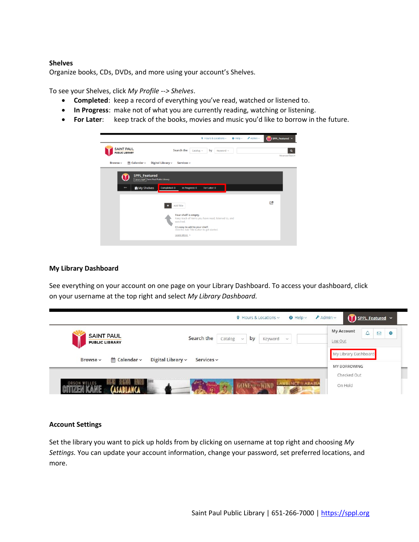#### **Shelves**

Organize books, CDs, DVDs, and more using your account's Shelves.

To see your Shelves, click *My Profile --> Shelves*.

- **Completed**: keep a record of everything you've read, watched or listened to.
- **In Progress**: make not of what you are currently reading, watching or listening.
- **For Later**: keep track of the books, movies and music you'd like to borrow in the future.



#### **My Library Dashboard**

See everything on your account on one page on your Library Dashboard. To access your dashboard, click on your username at the top right and select *My Library Dashboard.* 

| $A_{\text{dmin}}$<br>SPPL Featured v<br>$\circ$ Hours & Locations $\sim$<br>$\Theta$ Help $\vee$ |                                                                        |                                                                    |
|--------------------------------------------------------------------------------------------------|------------------------------------------------------------------------|--------------------------------------------------------------------|
| <b>SAINT PAUL</b><br><b>PUBLIC LIBRARY</b>                                                       | Search the<br>by<br>Catalog<br>Keyword<br>$\checkmark$<br>$\checkmark$ | <b>My Account</b><br>Ą<br>$\triangleright$<br>$\bullet$<br>Log Out |
| ≝ Calendar ~<br>Browse ~                                                                         | Digital Library $\sim$<br>Services ~                                   | My Library Dashboard<br>MY BORROWING                               |
|                                                                                                  |                                                                        | Checked Out                                                        |
| TI BIYLI<br>ORSON WELLES                                                                         | <b>GONE &amp; WIND</b><br><b>AWRENCE ARABIA</b>                        | On Hold                                                            |

#### **Account Settings**

Set the library you want to pick up holds from by clicking on username at top right and choosing *My Settings.* You can update your account information, change your password, set preferred locations, and more.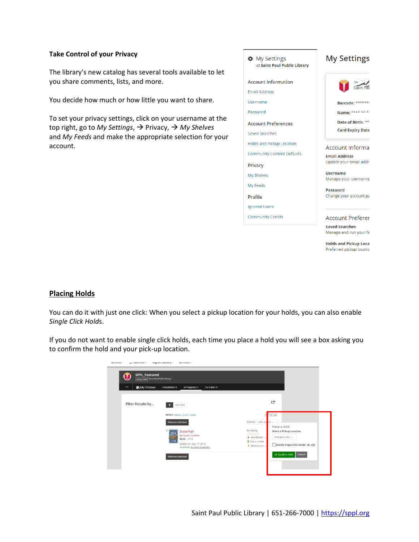# **Take Control of your Privacy**

The library's new catalog has several tools available to let you share comments, lists, and more.

You decide how much or how little you want to share.

To set your privacy settings, click on your username at the top right, go to *My Settings*, → Privacy, → *My Shelves* and *My Feeds* and make the appropriate selection for your account.

| ✿ My Settings<br>at Saint Paul Public Library | <b>My Settings</b>                              |
|-----------------------------------------------|-------------------------------------------------|
| <b>Account Information</b>                    | Saint Pa                                        |
| <b>Email Address</b>                          |                                                 |
| Username                                      | Barcode: *******                                |
| Password                                      | Name: **** ** **                                |
| <b>Account Preferences</b>                    | Date of Birth: **                               |
| <b>Saved Searches</b>                         | <b>Card Expiry Date</b>                         |
| <b>Holds and Pickup Location</b>              |                                                 |
| <b>Community Content Defaults</b>             | <b>Account Informa</b><br><b>Email Address</b>  |
| Privacy                                       | Update your email addr-                         |
| My Shelves                                    | <b>Username</b>                                 |
| My Feeds                                      | Manage your username                            |
|                                               | Password                                        |
| Profile                                       | Change your account pa                          |
| <b>Ignored Users</b>                          |                                                 |
| <b>Community Credits</b>                      | <b>Account Preferer</b>                         |
|                                               | <b>Saved Searches</b><br>Manage and run your fa |
|                                               | <b>Holds and Pickup Loca</b><br>.               |

# $\frac{2}{\pi}$

oca Preferred pickup locatio

# **Placing Holds**

You can do it with just one click: When you select a pickup location for your holds, you can also enable *Single Click Hold*s.

If you do not want to enable single click holds, each time you place a hold you will see a box asking you to confirm the hold and your pick-up location.

| <b>SPPL Featured</b><br>Library Staff Saint Paul Public Library |                                                                                         |                                                                                                       |
|-----------------------------------------------------------------|-----------------------------------------------------------------------------------------|-------------------------------------------------------------------------------------------------------|
| <b>in</b> My Shelves<br>٠                                       | Completed: 0<br>In Progress: 1<br>For Later: 0                                          |                                                                                                       |
| Filter Results by                                               | Add Title                                                                               | $\rightarrow$                                                                                         |
|                                                                 | Select: items 1-1 of 1, none.                                                           | $\equiv a$<br>и                                                                                       |
|                                                                 | <b>Remove Selected</b>                                                                  | Sort by: Date add<br>Place a Hold<br>My Rating                                                        |
|                                                                 | <b>State Fair</b><br><b>Tueling</b><br>By Fowler, Earlene<br><b>TANK</b><br>Book - 2010 | Select a Pickup Location:<br>.<br>सिन्दर्भ मे<br>Arlington Hills ~<br>+ Add Details ~<br>Place a Hold |
|                                                                 | Added on: Aug 17, 2018<br>Available in some locations                                   | Enable Single-Click Holds? @ Info<br>Move to my                                                       |
|                                                                 | <b>Remove Selected</b>                                                                  | ← Confirm Hold<br>Cancel                                                                              |